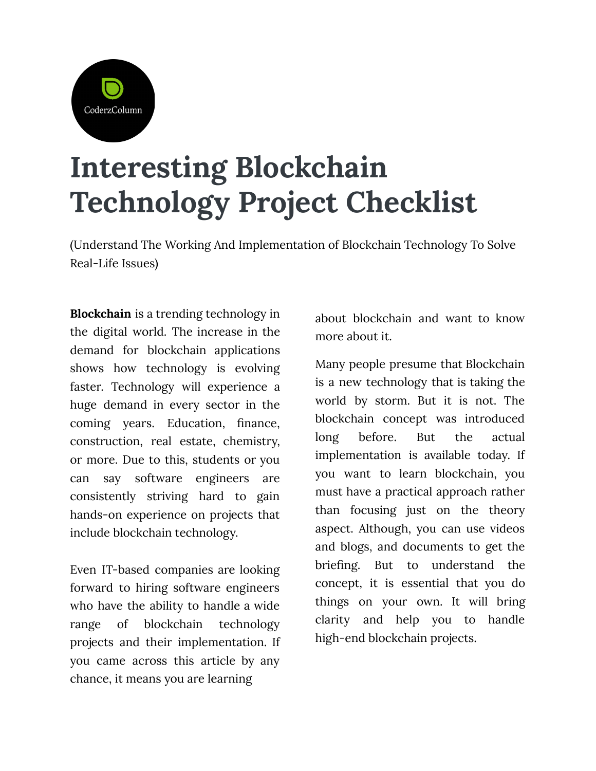

## **Interesting Blockchain Technology Project Checklist**

(Understand The Working And Implementation of Blockchain Technology To Solve Real-Life Issues)

**Blockchain** is a trending technology in the digital world. The increase in the demand for blockchain applications shows how technology is evolving faster. Technology will experience a huge demand in every sector in the coming years. Education, finance, construction, real estate, chemistry, or more. Due to this, students or you can say software engineers are consistently striving hard to gain hands-on experience on projects that include blockchain technology.

Even IT-based companies are looking forward to hiring software engineers who have the ability to handle a wide range of blockchain technology projects and their implementation. If you came across this article by any chance, it means you are learning

about blockchain and want to know more about it.

Many people presume that Blockchain is a new technology that is taking the world by storm. But it is not. The blockchain concept was introduced long before. But the actual implementation is available today. If you want to learn blockchain, you must have a practical approach rather than focusing just on the theory aspect. Although, you can use videos and blogs, and documents to get the briefing. But to understand the concept, it is essential that you do things on your own. It will bring clarity and help you to handle high-end blockchain projects.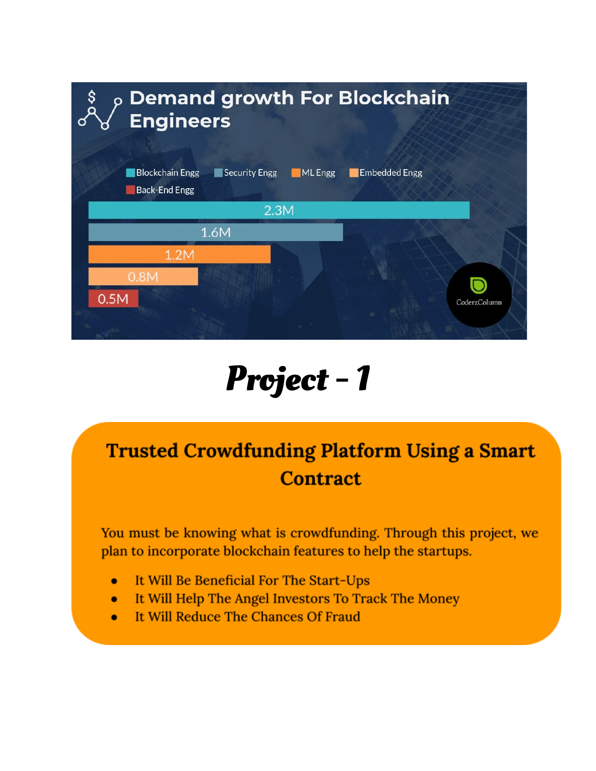| <b>p Demand growth For Blockchain</b><br>Ş<br><b>Engineers</b>  |                                 |
|-----------------------------------------------------------------|---------------------------------|
|                                                                 |                                 |
| <b>Blockchain Engg</b><br>Security Engg<br><b>Back-End Engg</b> | <b>Embedded Engg</b><br>ML Engg |
| 2.3M                                                            |                                 |
| 1.6M                                                            |                                 |
| 1.2M                                                            |                                 |
| 0.8M                                                            |                                 |
| 0.5M                                                            | CoderzColumn                    |
|                                                                 |                                 |

# Project - 1

## **Trusted Crowdfunding Platform Using a Smart Contract**

You must be knowing what is crowdfunding. Through this project, we plan to incorporate blockchain features to help the startups.

- It Will Be Beneficial For The Start-Ups  $\bullet$
- It Will Help The Angel Investors To Track The Money  $\bullet$
- It Will Reduce The Chances Of Fraud  $\bullet$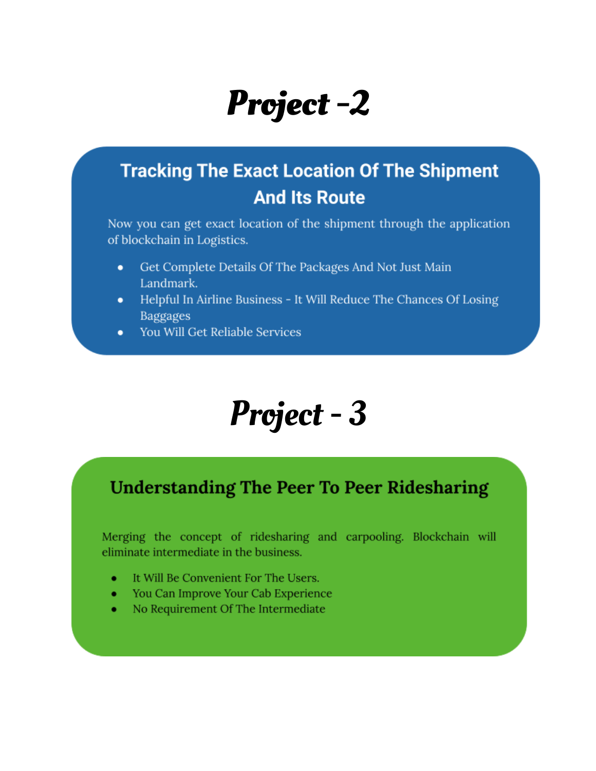# Project-2

### **Tracking The Exact Location Of The Shipment And Its Route**

Now you can get exact location of the shipment through the application of blockchain in Logistics.

- Get Complete Details Of The Packages And Not Just Main  $\bullet$ Landmark.
- Helpful In Airline Business It Will Reduce The Chances Of Losing  $\bullet$ Baggages
- You Will Get Reliable Services  $\bullet$

## Project - 3

#### **Understanding The Peer To Peer Ridesharing**

Merging the concept of ridesharing and carpooling. Blockchain will eliminate intermediate in the business.

- It Will Be Convenient For The Users.
- You Can Improve Your Cab Experience  $\bullet$
- No Requirement Of The Intermediate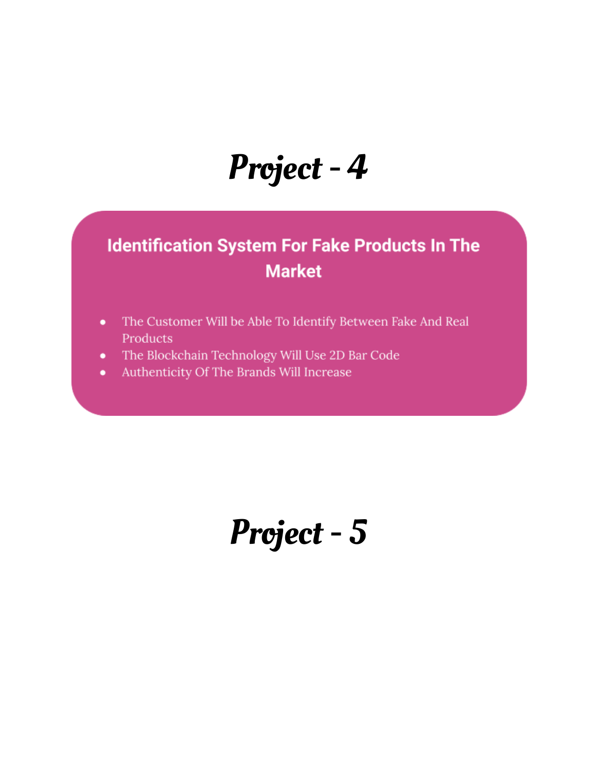## Project - 4

### **Identification System For Fake Products In The Market**

- The Customer Will be Able To Identify Between Fake And Real ٠ Products
- The Blockchain Technology Will Use 2D Bar Code
- Authenticity Of The Brands Will Increase

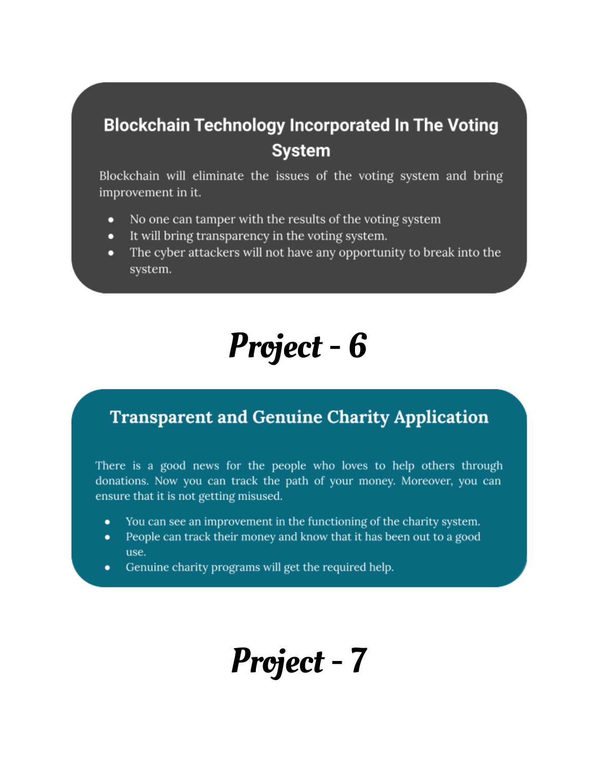### **Blockchain Technology Incorporated In The Voting System**

Blockchain will eliminate the issues of the voting system and bring improvement in it.

- No one can tamper with the results of the voting system
- It will bring transparency in the voting system.  $\bullet$
- The cyber attackers will not have any opportunity to break into the  $\bullet$ system.

# Project - 6

#### **Transparent and Genuine Charity Application**

There is a good news for the people who loves to help others through donations. Now you can track the path of your money. Moreover, you can ensure that it is not getting misused.

- You can see an improvement in the functioning of the charity system. ٠
- People can track their money and know that it has been out to a good  $\bullet$ use.
- Genuine charity programs will get the required help.  $\bullet$

## Project - 7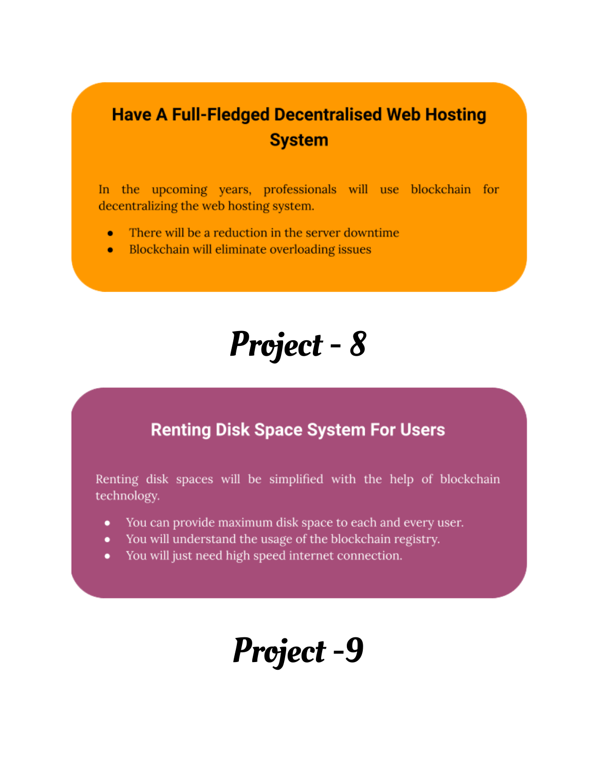### **Have A Full-Fledged Decentralised Web Hosting System**

In the upcoming years, professionals will use blockchain for decentralizing the web hosting system.

- There will be a reduction in the server downtime ۰
- Blockchain will eliminate overloading issues  $\bullet$

# Project - 8

#### **Renting Disk Space System For Users**

Renting disk spaces will be simplified with the help of blockchain technology.

- You can provide maximum disk space to each and every user.  $\bullet$
- You will understand the usage of the blockchain registry.
- You will just need high speed internet connection.

## Project -9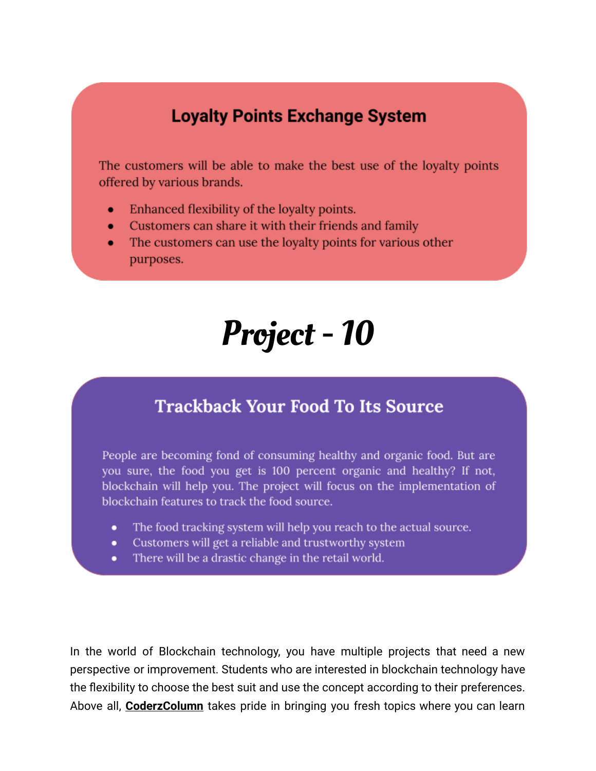### **Loyalty Points Exchange System**

The customers will be able to make the best use of the loyalty points offered by various brands.

- Enhanced flexibility of the loyalty points. ٠
- Customers can share it with their friends and family  $\bullet$
- The customers can use the loyalty points for various other purposes.

# Project - 10

#### **Trackback Your Food To Its Source**

People are becoming fond of consuming healthy and organic food. But are you sure, the food you get is 100 percent organic and healthy? If not, blockchain will help you. The project will focus on the implementation of blockchain features to track the food source.

- The food tracking system will help you reach to the actual source.
- Customers will get a reliable and trustworthy system ٠
- There will be a drastic change in the retail world.

In the world of Blockchain technology, you have multiple projects that need a new perspective or improvement. Students who are interested in blockchain technology have the flexibility to choose the best suit and use the concept according to their preferences. Above all, **CoderzColumn** takes pride in bringing you fresh topics where you can learn